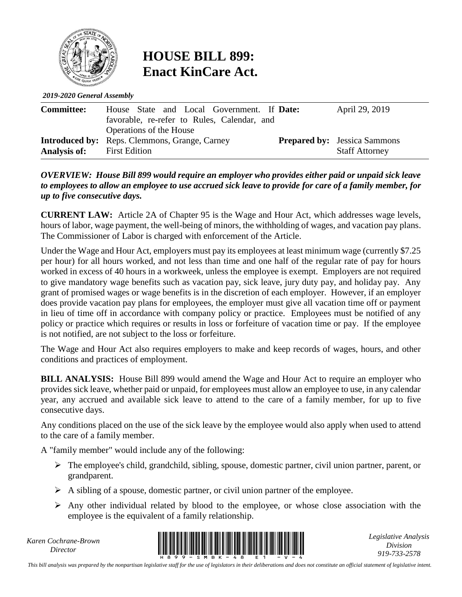

## **HOUSE BILL 899: Enact KinCare Act.**

*2019-2020 General Assembly*

| <b>Committee:</b>   | House State and Local Government. If Date:<br>favorable, re-refer to Rules, Calendar, and | April 29, 2019                      |
|---------------------|-------------------------------------------------------------------------------------------|-------------------------------------|
|                     | Operations of the House                                                                   |                                     |
|                     | <b>Introduced by:</b> Reps. Clemmons, Grange, Carney                                      | <b>Prepared by:</b> Jessica Sammons |
| <b>Analysis of:</b> | <b>First Edition</b>                                                                      | <b>Staff Attorney</b>               |

## *OVERVIEW: House Bill 899 would require an employer who provides either paid or unpaid sick leave to employees to allow an employee to use accrued sick leave to provide for care of a family member, for up to five consecutive days.*

**CURRENT LAW:** Article 2A of Chapter 95 is the Wage and Hour Act, which addresses wage levels, hours of labor, wage payment, the well-being of minors, the withholding of wages, and vacation pay plans. The Commissioner of Labor is charged with enforcement of the Article.

Under the Wage and Hour Act, employers must pay its employees at least minimum wage (currently \$7.25 per hour) for all hours worked, and not less than time and one half of the regular rate of pay for hours worked in excess of 40 hours in a workweek, unless the employee is exempt. Employers are not required to give mandatory wage benefits such as vacation pay, sick leave, jury duty pay, and holiday pay. Any grant of promised wages or wage benefits is in the discretion of each employer. However, if an employer does provide vacation pay plans for employees, the employer must give all vacation time off or payment in lieu of time off in accordance with company policy or practice. Employees must be notified of any policy or practice which requires or results in loss or forfeiture of vacation time or pay. If the employee is not notified, are not subject to the loss or forfeiture.

The Wage and Hour Act also requires employers to make and keep records of wages, hours, and other conditions and practices of employment.

**BILL ANALYSIS:** House Bill 899 would amend the Wage and Hour Act to require an employer who provides sick leave, whether paid or unpaid, for employees must allow an employee to use, in any calendar year, any accrued and available sick leave to attend to the care of a family member, for up to five consecutive days.

Any conditions placed on the use of the sick leave by the employee would also apply when used to attend to the care of a family member.

A "family member" would include any of the following:

- $\triangleright$  The employee's child, grandchild, sibling, spouse, domestic partner, civil union partner, parent, or grandparent.
- $\triangleright$  A sibling of a spouse, domestic partner, or civil union partner of the employee.
- $\triangleright$  Any other individual related by blood to the employee, or whose close association with the employee is the equivalent of a family relationship.

*Karen Cochrane-Brown*



*Legislative Analysis Division 919-733-2578*

*This bill analysis was prepared by the nonpartisan legislative staff for the use of legislators in their deliberations and does not constitute an official statement of legislative intent.*